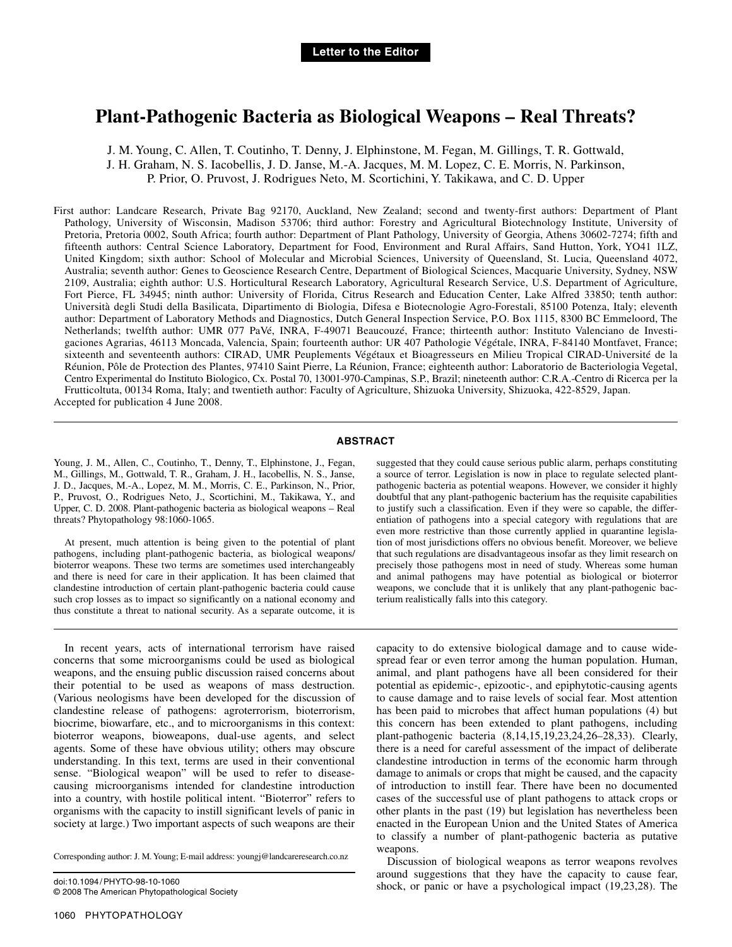## **Plant-Pathogenic Bacteria as Biological Weapons – Real Threats?**

J. M. Young, C. Allen, T. Coutinho, T. Denny, J. Elphinstone, M. Fegan, M. Gillings, T. R. Gottwald, J. H. Graham, N. S. Iacobellis, J. D. Janse, M.-A. Jacques, M. M. Lopez, C. E. Morris, N. Parkinson, P. Prior, O. Pruvost, J. Rodrigues Neto, M. Scortichini, Y. Takikawa, and C. D. Upper

First author: Landcare Research, Private Bag 92170, Auckland, New Zealand; second and twenty-first authors: Department of Plant Pathology, University of Wisconsin, Madison 53706; third author: Forestry and Agricultural Biotechnology Institute, University of Pretoria, Pretoria 0002, South Africa; fourth author: Department of Plant Pathology, University of Georgia, Athens 30602-7274; fifth and fifteenth authors: Central Science Laboratory, Department for Food, Environment and Rural Affairs, Sand Hutton, York, YO41 1LZ, United Kingdom; sixth author: School of Molecular and Microbial Sciences, University of Queensland, St. Lucia, Queensland 4072, Australia; seventh author: Genes to Geoscience Research Centre, Department of Biological Sciences, Macquarie University, Sydney, NSW 2109, Australia; eighth author: U.S. Horticultural Research Laboratory, Agricultural Research Service, U.S. Department of Agriculture, Fort Pierce, FL 34945; ninth author: University of Florida, Citrus Research and Education Center, Lake Alfred 33850; tenth author: Università degli Studi della Basilicata, Dipartimento di Biologia, Difesa e Biotecnologie Agro-Forestali, 85100 Potenza, Italy; eleventh author: Department of Laboratory Methods and Diagnostics, Dutch General Inspection Service, P.O. Box 1115, 8300 BC Emmeloord, The Netherlands; twelfth author: UMR 077 PaVé, INRA, F-49071 Beaucouzé, France; thirteenth author: Instituto Valenciano de Investigaciones Agrarias, 46113 Moncada, Valencia, Spain; fourteenth author: UR 407 Pathologie Végétale, INRA, F-84140 Montfavet, France; sixteenth and seventeenth authors: CIRAD, UMR Peuplements Végétaux et Bioagresseurs en Milieu Tropical CIRAD-Université de la Réunion, Pôle de Protection des Plantes, 97410 Saint Pierre, La Réunion, France; eighteenth author: Laboratorio de Bacteriologia Vegetal, Centro Experimental do Instituto Biologico, Cx. Postal 70, 13001-970-Campinas, S.P., Brazil; nineteenth author: C.R.A.-Centro di Ricerca per la Frutticoltuta, 00134 Roma, Italy; and twentieth author: Faculty of Agriculture, Shizuoka University, Shizuoka, 422-8529, Japan. Accepted for publication 4 June 2008.

## **ABSTRACT**

Young, J. M., Allen, C., Coutinho, T., Denny, T., Elphinstone, J., Fegan, M., Gillings, M., Gottwald, T. R., Graham, J. H., Iacobellis, N. S., Janse, J. D., Jacques, M.-A., Lopez, M. M., Morris, C. E., Parkinson, N., Prior, P., Pruvost, O., Rodrigues Neto, J., Scortichini, M., Takikawa, Y., and Upper, C. D. 2008. Plant-pathogenic bacteria as biological weapons – Real threats? Phytopathology 98:1060-1065.

At present, much attention is being given to the potential of plant pathogens, including plant-pathogenic bacteria, as biological weapons/ bioterror weapons. These two terms are sometimes used interchangeably and there is need for care in their application. It has been claimed that clandestine introduction of certain plant-pathogenic bacteria could cause such crop losses as to impact so significantly on a national economy and thus constitute a threat to national security. As a separate outcome, it is

In recent years, acts of international terrorism have raised concerns that some microorganisms could be used as biological weapons, and the ensuing public discussion raised concerns about their potential to be used as weapons of mass destruction. (Various neologisms have been developed for the discussion of clandestine release of pathogens: agroterrorism, bioterrorism, biocrime, biowarfare, etc., and to microorganisms in this context: bioterror weapons, bioweapons, dual-use agents, and select agents. Some of these have obvious utility; others may obscure understanding. In this text, terms are used in their conventional sense. "Biological weapon" will be used to refer to diseasecausing microorganisms intended for clandestine introduction into a country, with hostile political intent. "Bioterror" refers to organisms with the capacity to instill significant levels of panic in society at large.) Two important aspects of such weapons are their

Corresponding author: J. M. Young; E-mail address: youngj@landcareresearch.co.nz

doi:10.1094/ PHYTO-98-10-1060 © 2008 The American Phytopathological Society suggested that they could cause serious public alarm, perhaps constituting a source of terror. Legislation is now in place to regulate selected plantpathogenic bacteria as potential weapons. However, we consider it highly doubtful that any plant-pathogenic bacterium has the requisite capabilities to justify such a classification. Even if they were so capable, the differentiation of pathogens into a special category with regulations that are even more restrictive than those currently applied in quarantine legislation of most jurisdictions offers no obvious benefit. Moreover, we believe that such regulations are disadvantageous insofar as they limit research on precisely those pathogens most in need of study. Whereas some human and animal pathogens may have potential as biological or bioterror weapons, we conclude that it is unlikely that any plant-pathogenic bacterium realistically falls into this category.

capacity to do extensive biological damage and to cause widespread fear or even terror among the human population. Human, animal, and plant pathogens have all been considered for their potential as epidemic-, epizootic-, and epiphytotic-causing agents to cause damage and to raise levels of social fear. Most attention has been paid to microbes that affect human populations (4) but this concern has been extended to plant pathogens, including plant-pathogenic bacteria (8,14,15,19,23,24,26–28,33). Clearly, there is a need for careful assessment of the impact of deliberate clandestine introduction in terms of the economic harm through damage to animals or crops that might be caused, and the capacity of introduction to instill fear. There have been no documented cases of the successful use of plant pathogens to attack crops or other plants in the past (19) but legislation has nevertheless been enacted in the European Union and the United States of America to classify a number of plant-pathogenic bacteria as putative weapons.

Discussion of biological weapons as terror weapons revolves around suggestions that they have the capacity to cause fear, shock, or panic or have a psychological impact (19,23,28). The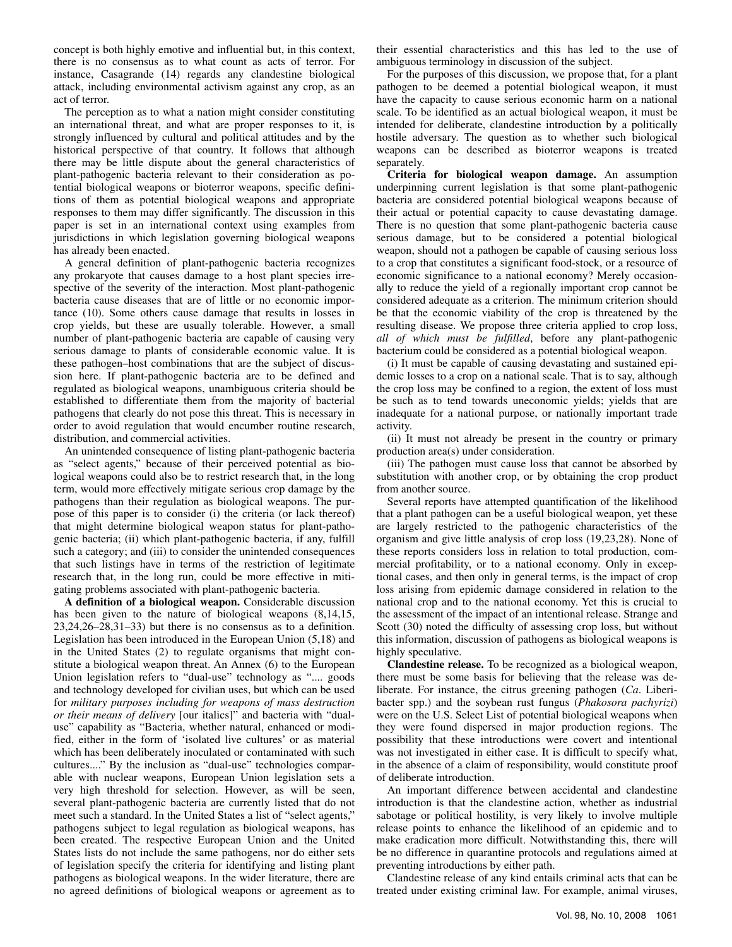concept is both highly emotive and influential but, in this context, there is no consensus as to what count as acts of terror. For instance, Casagrande (14) regards any clandestine biological attack, including environmental activism against any crop, as an act of terror.

The perception as to what a nation might consider constituting an international threat, and what are proper responses to it, is strongly influenced by cultural and political attitudes and by the historical perspective of that country. It follows that although there may be little dispute about the general characteristics of plant-pathogenic bacteria relevant to their consideration as potential biological weapons or bioterror weapons, specific definitions of them as potential biological weapons and appropriate responses to them may differ significantly. The discussion in this paper is set in an international context using examples from jurisdictions in which legislation governing biological weapons has already been enacted.

A general definition of plant-pathogenic bacteria recognizes any prokaryote that causes damage to a host plant species irrespective of the severity of the interaction. Most plant-pathogenic bacteria cause diseases that are of little or no economic importance (10). Some others cause damage that results in losses in crop yields, but these are usually tolerable. However, a small number of plant-pathogenic bacteria are capable of causing very serious damage to plants of considerable economic value. It is these pathogen–host combinations that are the subject of discussion here. If plant-pathogenic bacteria are to be defined and regulated as biological weapons, unambiguous criteria should be established to differentiate them from the majority of bacterial pathogens that clearly do not pose this threat. This is necessary in order to avoid regulation that would encumber routine research, distribution, and commercial activities.

An unintended consequence of listing plant-pathogenic bacteria as "select agents," because of their perceived potential as biological weapons could also be to restrict research that, in the long term, would more effectively mitigate serious crop damage by the pathogens than their regulation as biological weapons. The purpose of this paper is to consider (i) the criteria (or lack thereof) that might determine biological weapon status for plant-pathogenic bacteria; (ii) which plant-pathogenic bacteria, if any, fulfill such a category; and (iii) to consider the unintended consequences that such listings have in terms of the restriction of legitimate research that, in the long run, could be more effective in mitigating problems associated with plant-pathogenic bacteria.

**A definition of a biological weapon.** Considerable discussion has been given to the nature of biological weapons (8,14,15, 23,24,26–28,31–33) but there is no consensus as to a definition. Legislation has been introduced in the European Union (5,18) and in the United States (2) to regulate organisms that might constitute a biological weapon threat. An Annex (6) to the European Union legislation refers to "dual-use" technology as ".... goods and technology developed for civilian uses, but which can be used for *military purposes including for weapons of mass destruction or their means of delivery* [our italics]" and bacteria with "dualuse" capability as "Bacteria, whether natural, enhanced or modified, either in the form of 'isolated live cultures' or as material which has been deliberately inoculated or contaminated with such cultures...." By the inclusion as "dual-use" technologies comparable with nuclear weapons, European Union legislation sets a very high threshold for selection. However, as will be seen, several plant-pathogenic bacteria are currently listed that do not meet such a standard. In the United States a list of "select agents," pathogens subject to legal regulation as biological weapons, has been created. The respective European Union and the United States lists do not include the same pathogens, nor do either sets of legislation specify the criteria for identifying and listing plant pathogens as biological weapons. In the wider literature, there are no agreed definitions of biological weapons or agreement as to

their essential characteristics and this has led to the use of ambiguous terminology in discussion of the subject.

For the purposes of this discussion, we propose that, for a plant pathogen to be deemed a potential biological weapon, it must have the capacity to cause serious economic harm on a national scale. To be identified as an actual biological weapon, it must be intended for deliberate, clandestine introduction by a politically hostile adversary. The question as to whether such biological weapons can be described as bioterror weapons is treated separately.

**Criteria for biological weapon damage.** An assumption underpinning current legislation is that some plant-pathogenic bacteria are considered potential biological weapons because of their actual or potential capacity to cause devastating damage. There is no question that some plant-pathogenic bacteria cause serious damage, but to be considered a potential biological weapon, should not a pathogen be capable of causing serious loss to a crop that constitutes a significant food-stock, or a resource of economic significance to a national economy? Merely occasionally to reduce the yield of a regionally important crop cannot be considered adequate as a criterion. The minimum criterion should be that the economic viability of the crop is threatened by the resulting disease. We propose three criteria applied to crop loss, *all of which must be fulfilled*, before any plant-pathogenic bacterium could be considered as a potential biological weapon.

(i) It must be capable of causing devastating and sustained epidemic losses to a crop on a national scale. That is to say, although the crop loss may be confined to a region, the extent of loss must be such as to tend towards uneconomic yields; yields that are inadequate for a national purpose, or nationally important trade activity.

(ii) It must not already be present in the country or primary production area(s) under consideration.

(iii) The pathogen must cause loss that cannot be absorbed by substitution with another crop, or by obtaining the crop product from another source.

Several reports have attempted quantification of the likelihood that a plant pathogen can be a useful biological weapon, yet these are largely restricted to the pathogenic characteristics of the organism and give little analysis of crop loss (19,23,28). None of these reports considers loss in relation to total production, commercial profitability, or to a national economy. Only in exceptional cases, and then only in general terms, is the impact of crop loss arising from epidemic damage considered in relation to the national crop and to the national economy. Yet this is crucial to the assessment of the impact of an intentional release. Strange and Scott (30) noted the difficulty of assessing crop loss, but without this information, discussion of pathogens as biological weapons is highly speculative.

**Clandestine release.** To be recognized as a biological weapon, there must be some basis for believing that the release was deliberate. For instance, the citrus greening pathogen (*Ca*. Liberibacter spp.) and the soybean rust fungus (*Phakosora pachyrizi*) were on the U.S. Select List of potential biological weapons when they were found dispersed in major production regions. The possibility that these introductions were covert and intentional was not investigated in either case. It is difficult to specify what, in the absence of a claim of responsibility, would constitute proof of deliberate introduction.

An important difference between accidental and clandestine introduction is that the clandestine action, whether as industrial sabotage or political hostility, is very likely to involve multiple release points to enhance the likelihood of an epidemic and to make eradication more difficult. Notwithstanding this, there will be no difference in quarantine protocols and regulations aimed at preventing introductions by either path.

Clandestine release of any kind entails criminal acts that can be treated under existing criminal law. For example, animal viruses,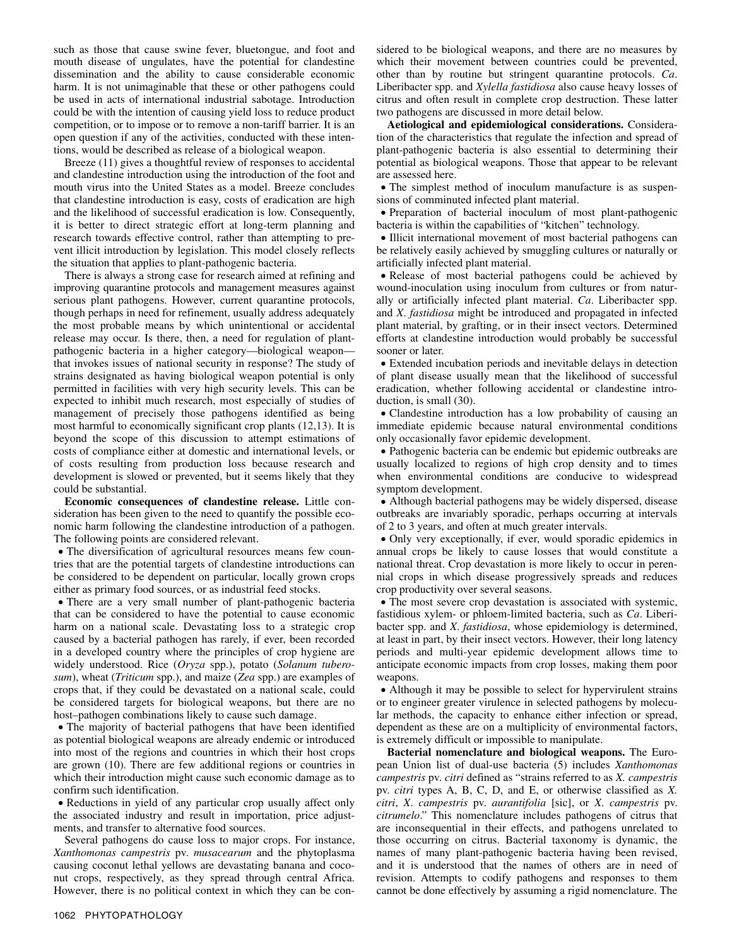such as those that cause swine fever, bluetongue, and foot and mouth disease of ungulates, have the potential for clandestine dissemination and the ability to cause considerable economic harm. It is not unimaginable that these or other pathogens could be used in acts of international industrial sabotage. Introduction could be with the intention of causing yield loss to reduce product competition, or to impose or to remove a non-tariff barrier. It is an open question if any of the activities, conducted with these intentions, would be described as release of a biological weapon.

Breeze (11) gives a thoughtful review of responses to accidental and clandestine introduction using the introduction of the foot and mouth virus into the United States as a model. Breeze concludes that clandestine introduction is easy, costs of eradication are high and the likelihood of successful eradication is low. Consequently, it is better to direct strategic effort at long-term planning and research towards effective control, rather than attempting to prevent illicit introduction by legislation. This model closely reflects the situation that applies to plant-pathogenic bacteria.

There is always a strong case for research aimed at refining and improving quarantine protocols and management measures against serious plant pathogens. However, current quarantine protocols, though perhaps in need for refinement, usually address adequately the most probable means by which unintentional or accidental release may occur. Is there, then, a need for regulation of plantpathogenic bacteria in a higher category—biological weapon that invokes issues of national security in response? The study of strains designated as having biological weapon potential is only permitted in facilities with very high security levels. This can be expected to inhibit much research, most especially of studies of management of precisely those pathogens identified as being most harmful to economically significant crop plants (12,13). It is beyond the scope of this discussion to attempt estimations of costs of compliance either at domestic and international levels, or of costs resulting from production loss because research and development is slowed or prevented, but it seems likely that they could be substantial.

**Economic consequences of clandestine release.** Little consideration has been given to the need to quantify the possible economic harm following the clandestine introduction of a pathogen. The following points are considered relevant.

• The diversification of agricultural resources means few countries that are the potential targets of clandestine introductions can be considered to be dependent on particular, locally grown crops either as primary food sources, or as industrial feed stocks.

• There are a very small number of plant-pathogenic bacteria that can be considered to have the potential to cause economic harm on a national scale. Devastating loss to a strategic crop caused by a bacterial pathogen has rarely, if ever, been recorded in a developed country where the principles of crop hygiene are widely understood. Rice (*Oryza* spp.), potato (*Solanum tuberosum*), wheat (*Triticum* spp.), and maize (*Zea* spp.) are examples of crops that, if they could be devastated on a national scale, could be considered targets for biological weapons, but there are no host–pathogen combinations likely to cause such damage.

• The majority of bacterial pathogens that have been identified as potential biological weapons are already endemic or introduced into most of the regions and countries in which their host crops are grown (10). There are few additional regions or countries in which their introduction might cause such economic damage as to confirm such identification.

• Reductions in yield of any particular crop usually affect only the associated industry and result in importation, price adjustments, and transfer to alternative food sources.

Several pathogens do cause loss to major crops. For instance, *Xanthomonas campestris* pv. *musacearum* and the phytoplasma causing coconut lethal yellows are devastating banana and coconut crops, respectively, as they spread through central Africa. However, there is no political context in which they can be considered to be biological weapons, and there are no measures by which their movement between countries could be prevented, other than by routine but stringent quarantine protocols. *Ca*. Liberibacter spp. and *Xylella fastidiosa* also cause heavy losses of citrus and often result in complete crop destruction. These latter two pathogens are discussed in more detail below.

**Aetiological and epidemiological considerations.** Consideration of the characteristics that regulate the infection and spread of plant-pathogenic bacteria is also essential to determining their potential as biological weapons. Those that appear to be relevant are assessed here.

• The simplest method of inoculum manufacture is as suspensions of comminuted infected plant material.

• Preparation of bacterial inoculum of most plant-pathogenic bacteria is within the capabilities of "kitchen" technology.

• Illicit international movement of most bacterial pathogens can be relatively easily achieved by smuggling cultures or naturally or artificially infected plant material.

• Release of most bacterial pathogens could be achieved by wound-inoculation using inoculum from cultures or from naturally or artificially infected plant material. *Ca*. Liberibacter spp. and *X*. *fastidiosa* might be introduced and propagated in infected plant material, by grafting, or in their insect vectors. Determined efforts at clandestine introduction would probably be successful sooner or later.

• Extended incubation periods and inevitable delays in detection of plant disease usually mean that the likelihood of successful eradication, whether following accidental or clandestine introduction, is small (30).

• Clandestine introduction has a low probability of causing an immediate epidemic because natural environmental conditions only occasionally favor epidemic development.

• Pathogenic bacteria can be endemic but epidemic outbreaks are usually localized to regions of high crop density and to times when environmental conditions are conducive to widespread symptom development.

• Although bacterial pathogens may be widely dispersed, disease outbreaks are invariably sporadic, perhaps occurring at intervals of 2 to 3 years, and often at much greater intervals.

• Only very exceptionally, if ever, would sporadic epidemics in annual crops be likely to cause losses that would constitute a national threat. Crop devastation is more likely to occur in perennial crops in which disease progressively spreads and reduces crop productivity over several seasons.

• The most severe crop devastation is associated with systemic, fastidious xylem- or phloem-limited bacteria, such as *Ca*. Liberibacter spp. and *X*. *fastidiosa*, whose epidemiology is determined, at least in part, by their insect vectors. However, their long latency periods and multi-year epidemic development allows time to anticipate economic impacts from crop losses, making them poor weapons.

• Although it may be possible to select for hypervirulent strains or to engineer greater virulence in selected pathogens by molecular methods, the capacity to enhance either infection or spread, dependent as these are on a multiplicity of environmental factors, is extremely difficult or impossible to manipulate.

**Bacterial nomenclature and biological weapons.** The European Union list of dual-use bacteria (5) includes *Xanthomonas campestris* pv. *citri* defined as "strains referred to as *X. campestris* pv. *citri* types A, B, C, D, and E, or otherwise classified as *X. citri*, *X*. *campestris* pv. *aurantifolia* [sic], or *X*. *campestris* pv. *citrumelo*." This nomenclature includes pathogens of citrus that are inconsequential in their effects, and pathogens unrelated to those occurring on citrus. Bacterial taxonomy is dynamic, the names of many plant-pathogenic bacteria having been revised, and it is understood that the names of others are in need of revision. Attempts to codify pathogens and responses to them cannot be done effectively by assuming a rigid nomenclature. The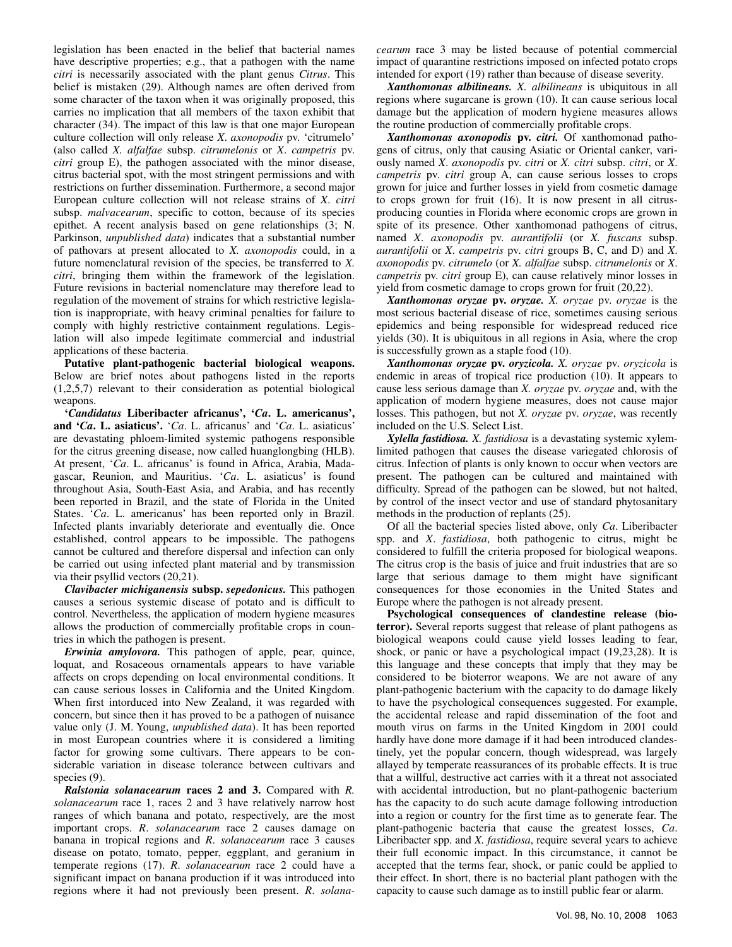legislation has been enacted in the belief that bacterial names have descriptive properties; e.g., that a pathogen with the name *citri* is necessarily associated with the plant genus *Citrus*. This belief is mistaken (29). Although names are often derived from some character of the taxon when it was originally proposed, this carries no implication that all members of the taxon exhibit that character (34). The impact of this law is that one major European culture collection will only release *X*. *axonopodis* pv. 'citrumelo' (also called *X. alfalfae* subsp. *citrumelonis* or *X*. *campetris* pv. *citri* group E), the pathogen associated with the minor disease, citrus bacterial spot, with the most stringent permissions and with restrictions on further dissemination. Furthermore, a second major European culture collection will not release strains of *X*. *citri* subsp. *malvacearum*, specific to cotton, because of its species epithet. A recent analysis based on gene relationships (3; N. Parkinson, *unpublished data*) indicates that a substantial number of pathovars at present allocated to *X. axonopodis* could, in a future nomenclatural revision of the species, be transferred to *X. citri*, bringing them within the framework of the legislation. Future revisions in bacterial nomenclature may therefore lead to regulation of the movement of strains for which restrictive legislation is inappropriate, with heavy criminal penalties for failure to comply with highly restrictive containment regulations. Legislation will also impede legitimate commercial and industrial applications of these bacteria.

**Putative plant-pathogenic bacterial biological weapons.**  Below are brief notes about pathogens listed in the reports (1,2,5,7) relevant to their consideration as potential biological weapons.

**'***Candidatus* **Liberibacter africanus', '***Ca***. L. americanus', and '***Ca***. L. asiaticus'.** '*Ca*. L. africanus' and '*Ca*. L. asiaticus' are devastating phloem-limited systemic pathogens responsible for the citrus greening disease, now called huanglongbing (HLB). At present, '*Ca*. L. africanus' is found in Africa, Arabia, Madagascar, Reunion, and Mauritius. '*Ca*. L. asiaticus' is found throughout Asia, South-East Asia, and Arabia, and has recently been reported in Brazil, and the state of Florida in the United States. '*Ca*. L. americanus' has been reported only in Brazil. Infected plants invariably deteriorate and eventually die. Once established, control appears to be impossible. The pathogens cannot be cultured and therefore dispersal and infection can only be carried out using infected plant material and by transmission via their psyllid vectors (20,21).

*Clavibacter michiganensis* **subsp.** *sepedonicus.* This pathogen causes a serious systemic disease of potato and is difficult to control. Nevertheless, the application of modern hygiene measures allows the production of commercially profitable crops in countries in which the pathogen is present.

*Erwinia amylovora.* This pathogen of apple, pear, quince, loquat, and Rosaceous ornamentals appears to have variable affects on crops depending on local environmental conditions. It can cause serious losses in California and the United Kingdom. When first intorduced into New Zealand, it was regarded with concern, but since then it has proved to be a pathogen of nuisance value only (J. M. Young, *unpublished data*). It has been reported in most European countries where it is considered a limiting factor for growing some cultivars. There appears to be considerable variation in disease tolerance between cultivars and species (9).

*Ralstonia solanacearum* **races 2 and 3.** Compared with *R. solanacearum* race 1, races 2 and 3 have relatively narrow host ranges of which banana and potato, respectively, are the most important crops. *R*. *solanacearum* race 2 causes damage on banana in tropical regions and *R*. *solanacearum* race 3 causes disease on potato, tomato, pepper, eggplant, and geranium in temperate regions (17). *R*. *solanacearum* race 2 could have a significant impact on banana production if it was introduced into regions where it had not previously been present. *R*. *solana-* *cearum* race 3 may be listed because of potential commercial impact of quarantine restrictions imposed on infected potato crops intended for export (19) rather than because of disease severity.

*Xanthomonas albilineans. X. albilineans* is ubiquitous in all regions where sugarcane is grown (10). It can cause serious local damage but the application of modern hygiene measures allows the routine production of commercially profitable crops.

*Xanthomonas axonopodis* **pv.** *citri.* Of xanthomonad pathogens of citrus, only that causing Asiatic or Oriental canker, variously named *X*. *axonopodis* pv. *citri* or *X. citri* subsp. *citri*, or *X*. *campetris* pv. *citri* group A, can cause serious losses to crops grown for juice and further losses in yield from cosmetic damage to crops grown for fruit (16). It is now present in all citrusproducing counties in Florida where economic crops are grown in spite of its presence. Other xanthomonad pathogens of citrus, named *X*. *axonopodis* pv. *aurantifolii* (or *X. fuscans* subsp. *aurantifolii* or *X*. *campetris* pv. *citri* groups B, C, and D) and *X*. *axonopodis* pv. *citrumelo* (or *X. alfalfae* subsp. *citrumelonis* or *X*. *campetris* pv. *citri* group E), can cause relatively minor losses in yield from cosmetic damage to crops grown for fruit (20,22).

*Xanthomonas oryzae* **pv.** *oryzae. X. oryzae* pv. *oryzae* is the most serious bacterial disease of rice, sometimes causing serious epidemics and being responsible for widespread reduced rice yields (30). It is ubiquitous in all regions in Asia, where the crop is successfully grown as a staple food (10).

*Xanthomonas oryzae* **pv.** *oryzicola. X. oryzae* pv. *oryzicola* is endemic in areas of tropical rice production (10). It appears to cause less serious damage than *X. oryzae* pv. *oryzae* and, with the application of modern hygiene measures, does not cause major losses. This pathogen, but not *X. oryzae* pv. *oryzae*, was recently included on the U.S. Select List.

*Xylella fastidiosa. X. fastidiosa* is a devastating systemic xylemlimited pathogen that causes the disease variegated chlorosis of citrus. Infection of plants is only known to occur when vectors are present. The pathogen can be cultured and maintained with difficulty. Spread of the pathogen can be slowed, but not halted, by control of the insect vector and use of standard phytosanitary methods in the production of replants (25).

Of all the bacterial species listed above, only *Ca*. Liberibacter spp. and *X*. *fastidiosa*, both pathogenic to citrus, might be considered to fulfill the criteria proposed for biological weapons. The citrus crop is the basis of juice and fruit industries that are so large that serious damage to them might have significant consequences for those economies in the United States and Europe where the pathogen is not already present.

**Psychological consequences of clandestine release (bioterror).** Several reports suggest that release of plant pathogens as biological weapons could cause yield losses leading to fear, shock, or panic or have a psychological impact (19,23,28). It is this language and these concepts that imply that they may be considered to be bioterror weapons. We are not aware of any plant-pathogenic bacterium with the capacity to do damage likely to have the psychological consequences suggested. For example, the accidental release and rapid dissemination of the foot and mouth virus on farms in the United Kingdom in 2001 could hardly have done more damage if it had been introduced clandestinely, yet the popular concern, though widespread, was largely allayed by temperate reassurances of its probable effects. It is true that a willful, destructive act carries with it a threat not associated with accidental introduction, but no plant-pathogenic bacterium has the capacity to do such acute damage following introduction into a region or country for the first time as to generate fear. The plant-pathogenic bacteria that cause the greatest losses, *Ca*. Liberibacter spp. and *X. fastidiosa*, require several years to achieve their full economic impact. In this circumstance, it cannot be accepted that the terms fear, shock, or panic could be applied to their effect. In short, there is no bacterial plant pathogen with the capacity to cause such damage as to instill public fear or alarm.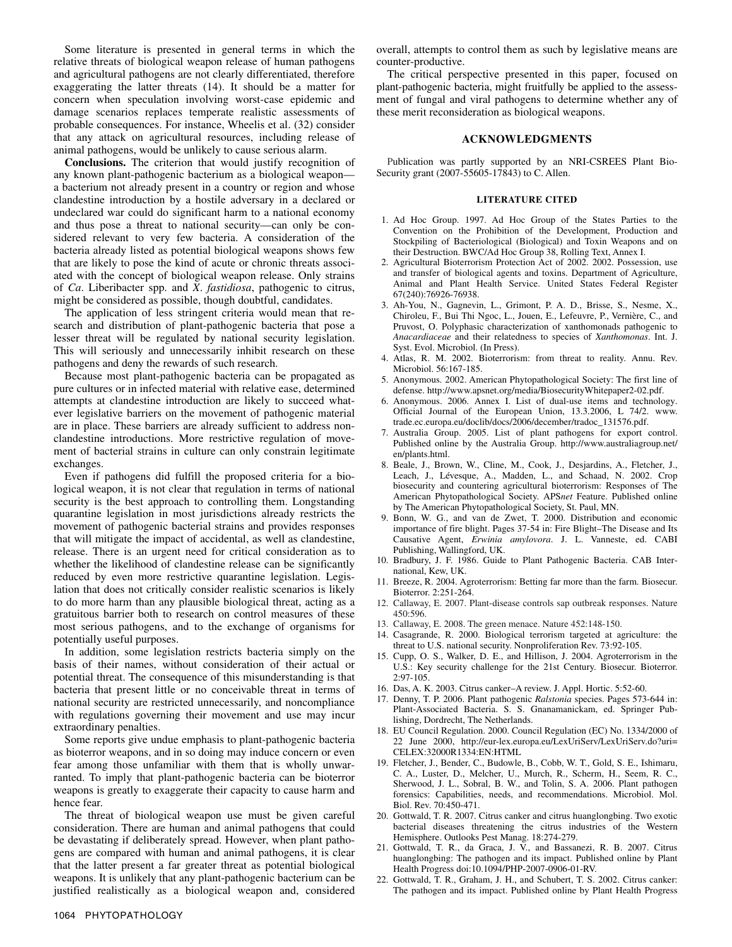Some literature is presented in general terms in which the relative threats of biological weapon release of human pathogens and agricultural pathogens are not clearly differentiated, therefore exaggerating the latter threats (14). It should be a matter for concern when speculation involving worst-case epidemic and damage scenarios replaces temperate realistic assessments of probable consequences. For instance, Wheelis et al. (32) consider that any attack on agricultural resources, including release of animal pathogens, would be unlikely to cause serious alarm.

**Conclusions.** The criterion that would justify recognition of any known plant-pathogenic bacterium as a biological weapon a bacterium not already present in a country or region and whose clandestine introduction by a hostile adversary in a declared or undeclared war could do significant harm to a national economy and thus pose a threat to national security—can only be considered relevant to very few bacteria. A consideration of the bacteria already listed as potential biological weapons shows few that are likely to pose the kind of acute or chronic threats associated with the concept of biological weapon release. Only strains of *Ca*. Liberibacter spp. and *X*. *fastidiosa*, pathogenic to citrus, might be considered as possible, though doubtful, candidates.

The application of less stringent criteria would mean that research and distribution of plant-pathogenic bacteria that pose a lesser threat will be regulated by national security legislation. This will seriously and unnecessarily inhibit research on these pathogens and deny the rewards of such research.

Because most plant-pathogenic bacteria can be propagated as pure cultures or in infected material with relative ease, determined attempts at clandestine introduction are likely to succeed whatever legislative barriers on the movement of pathogenic material are in place. These barriers are already sufficient to address nonclandestine introductions. More restrictive regulation of movement of bacterial strains in culture can only constrain legitimate exchanges.

Even if pathogens did fulfill the proposed criteria for a biological weapon, it is not clear that regulation in terms of national security is the best approach to controlling them. Longstanding quarantine legislation in most jurisdictions already restricts the movement of pathogenic bacterial strains and provides responses that will mitigate the impact of accidental, as well as clandestine, release. There is an urgent need for critical consideration as to whether the likelihood of clandestine release can be significantly reduced by even more restrictive quarantine legislation. Legislation that does not critically consider realistic scenarios is likely to do more harm than any plausible biological threat, acting as a gratuitous barrier both to research on control measures of these most serious pathogens, and to the exchange of organisms for potentially useful purposes.

In addition, some legislation restricts bacteria simply on the basis of their names, without consideration of their actual or potential threat. The consequence of this misunderstanding is that bacteria that present little or no conceivable threat in terms of national security are restricted unnecessarily, and noncompliance with regulations governing their movement and use may incur extraordinary penalties.

Some reports give undue emphasis to plant-pathogenic bacteria as bioterror weapons, and in so doing may induce concern or even fear among those unfamiliar with them that is wholly unwarranted. To imply that plant-pathogenic bacteria can be bioterror weapons is greatly to exaggerate their capacity to cause harm and hence fear.

The threat of biological weapon use must be given careful consideration. There are human and animal pathogens that could be devastating if deliberately spread. However, when plant pathogens are compared with human and animal pathogens, it is clear that the latter present a far greater threat as potential biological weapons. It is unlikely that any plant-pathogenic bacterium can be justified realistically as a biological weapon and, considered

overall, attempts to control them as such by legislative means are counter-productive.

The critical perspective presented in this paper, focused on plant-pathogenic bacteria, might fruitfully be applied to the assessment of fungal and viral pathogens to determine whether any of these merit reconsideration as biological weapons.

## **ACKNOWLEDGMENTS**

Publication was partly supported by an NRI-CSREES Plant Bio-Security grant (2007-55605-17843) to C. Allen.

## **LITERATURE CITED**

- 1. Ad Hoc Group. 1997. Ad Hoc Group of the States Parties to the Convention on the Prohibition of the Development, Production and Stockpiling of Bacteriological (Biological) and Toxin Weapons and on their Destruction. BWC/Ad Hoc Group 38, Rolling Text, Annex I.
- 2. Agricultural Bioterrorism Protection Act of 2002. 2002. Possession, use and transfer of biological agents and toxins. Department of Agriculture, Animal and Plant Health Service. United States Federal Register 67(240):76926-76938.
- 3. Ah-You, N., Gagnevin, L., Grimont, P. A. D., Brisse, S., Nesme, X., Chiroleu, F., Bui Thi Ngoc, L., Jouen, E., Lefeuvre, P., Vernière, C., and Pruvost, O. Polyphasic characterization of xanthomonads pathogenic to *Anacardiaceae* and their relatedness to species of *Xanthomonas*. Int. J. Syst. Evol. Microbiol. (In Press).
- 4. Atlas, R. M. 2002. Bioterrorism: from threat to reality. Annu. Rev. Microbiol. 56:167-185.
- 5. Anonymous. 2002. American Phytopathological Society: The first line of defense. http://www.apsnet.org/media/BiosecurityWhitepaper2-02.pdf.
- 6. Anonymous. 2006. Annex I. List of dual-use items and technology. Official Journal of the European Union, 13.3.2006, L 74/2. www. trade.ec.europa.eu/doclib/docs/2006/december/tradoc\_131576.pdf.
- 7. Australia Group. 2005. List of plant pathogens for export control. Published online by the Australia Group. http://www.australiagroup.net/ en/plants.html.
- 8. Beale, J., Brown, W., Cline, M., Cook, J., Desjardins, A., Fletcher, J., Leach, J., Lévesque, A., Madden, L., and Schaad, N. 2002. Crop biosecurity and countering agricultural bioterrorism: Responses of The American Phytopathological Society. APS*net* Feature. Published online by The American Phytopathological Society, St. Paul, MN.
- 9. Bonn, W. G., and van de Zwet, T. 2000. Distribution and economic importance of fire blight. Pages 37-54 in: Fire Blight–The Disease and Its Causative Agent, *Erwinia amylovora*. J. L. Vanneste, ed. CABI Publishing, Wallingford, UK.
- 10. Bradbury, J. F. 1986. Guide to Plant Pathogenic Bacteria. CAB International, Kew, UK.
- 11. Breeze, R. 2004. Agroterrorism: Betting far more than the farm. Biosecur. Bioterror. 2:251-264.
- 12. Callaway, E. 2007. Plant-disease controls sap outbreak responses. Nature 450:596.
- 13. Callaway, E. 2008. The green menace. Nature 452:148-150.
- 14. Casagrande, R. 2000. Biological terrorism targeted at agriculture: the threat to U.S. national security. Nonproliferation Rev. 73:92-105.
- 15. Cupp, O. S., Walker, D. E., and Hillison, J. 2004. Agroterrorism in the U.S.: Key security challenge for the 21st Century. Biosecur. Bioterror. 2:97-105.
- 16. Das, A. K. 2003. Citrus canker–A review. J. Appl. Hortic. 5:52-60.
- 17. Denny, T. P. 2006. Plant pathogenic *Ralstonia* species. Pages 573-644 in: Plant-Associated Bacteria. S. S. Gnanamanickam, ed. Springer Publishing, Dordrecht, The Netherlands.
- 18. EU Council Regulation. 2000. Council Regulation (EC) No. 1334/2000 of 22 June 2000, http://eur-lex.europa.eu/LexUriServ/LexUriServ.do?uri= CELEX:32000R1334:EN:HTML
- 19. Fletcher, J., Bender, C., Budowle, B., Cobb, W. T., Gold, S. E., Ishimaru, C. A., Luster, D., Melcher, U., Murch, R., Scherm, H., Seem, R. C., Sherwood, J. L., Sobral, B. W., and Tolin, S. A. 2006. Plant pathogen forensics: Capabilities, needs, and recommendations. Microbiol. Mol. Biol. Rev. 70:450-471.
- 20. Gottwald, T. R. 2007. Citrus canker and citrus huanglongbing. Two exotic bacterial diseases threatening the citrus industries of the Western Hemisphere. Outlooks Pest Manag. 18:274-279.
- 21. Gottwald, T. R., da Graca, J. V., and Bassanezi, R. B. 2007. Citrus huanglongbing: The pathogen and its impact. Published online by Plant Health Progress doi:10.1094/PHP-2007-0906-01-RV.
- 22. Gottwald, T. R., Graham, J. H., and Schubert, T. S. 2002. Citrus canker: The pathogen and its impact. Published online by Plant Health Progress